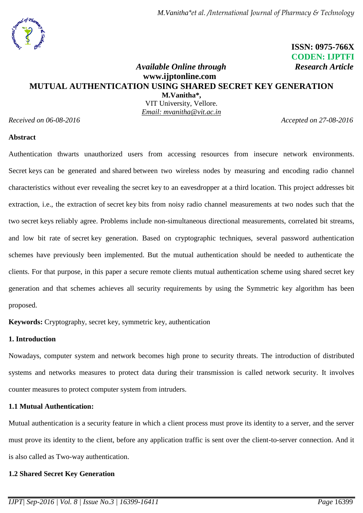

 **ISSN: 0975-766X CODEN: IJPTFI**

## *Available Online through* Research Article **www.ijptonline.com MUTUAL AUTHENTICATION USING SHARED SECRET KEY GENERATION M.Vanitha\*,**

VIT University, Vellore. *Email: mvanitha@vit.ac.in*

*Received on 06-08-2016 Accepted on 27-08-2016*

#### **Abstract**

Authentication thwarts unauthorized users from accessing resources from insecure network environments. Secret keys can be generated and shared between two wireless nodes by measuring and encoding radio channel characteristics without ever revealing the secret key to an eavesdropper at a third location. This project addresses bit extraction, i.e., the extraction of secret key bits from noisy radio channel measurements at two nodes such that the two secret keys reliably agree. Problems include non-simultaneous directional measurements, correlated bit streams, and low bit rate of secret key generation. Based on cryptographic techniques, several password authentication schemes have previously been implemented. But the mutual authentication should be needed to authenticate the clients. For that purpose, in this paper a secure remote clients mutual authentication scheme using shared secret key generation and that schemes achieves all security requirements by using the Symmetric key algorithm has been proposed.

**Keywords:** Cryptography, secret key, symmetric key, authentication

# **1. Introduction**

Nowadays, computer system and network becomes high prone to security threats. The introduction of distributed systems and networks measures to protect data during their transmission is called network security. It involves counter measures to protect computer system from intruders.

## **1.1 Mutual Authentication:**

Mutual authentication is a security feature in which a client process must prove its identity to a server, and the server must prove its identity to the client, before any application traffic is sent over the client-to-server connection. And it is also called as Two-way authentication.

## **1.2 Shared Secret Key Generation**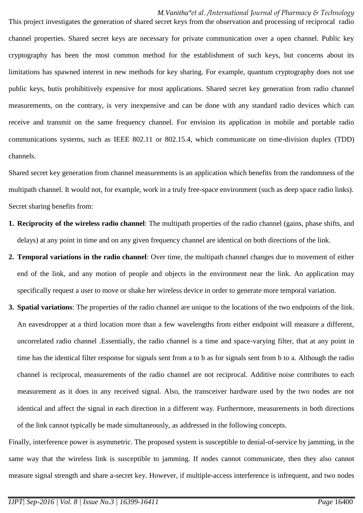This project investigates the generation of shared secret keys from the observation and processing of reciprocal radio channel properties. Shared secret keys are necessary for private communication over a open channel. Public key cryptography has been the most common method for the establishment of such keys, but concerns about its limitations has spawned interest in new methods for key sharing. For example, quantum cryptography does not use public keys, butis prohibitively expensive for most applications. Shared secret key generation from radio channel measurements, on the contrary, is very inexpensive and can be done with any standard radio devices which can receive and transmit on the same frequency channel. For envision its application in mobile and portable radio communications systems, such as IEEE 802.11 or 802.15.4, which communicate on time-division duplex (TDD) channels.

Shared secret key generation from channel measurements is an application which benefits from the randomness of the multipath channel. It would not, for example, work in a truly free-space environment (such as deep space radio links). Secret sharing benefits from:

- **1. Reciprocity of the wireless radio channel**: The multipath properties of the radio channel (gains, phase shifts, and delays) at any point in time and on any given frequency channel are identical on both directions of the link.
- **2. Temporal variations in the radio channel**: Over time, the multipath channel changes due to movement of either end of the link, and any motion of people and objects in the environment near the link. An application may specifically request a user to move or shake her wireless device in order to generate more temporal variation.
- **3. Spatial variations**: The properties of the radio channel are unique to the locations of the two endpoints of the link. An eavesdropper at a third location more than a few wavelengths from either endpoint will measure a different, uncorrelated radio channel .Essentially, the radio channel is a time and space-varying filter, that at any point in time has the identical filter response for signals sent from a to b as for signals sent from b to a. Although the radio channel is reciprocal, measurements of the radio channel are not reciprocal. Additive noise contributes to each measurement as it does in any received signal. Also, the transceiver hardware used by the two nodes are not identical and affect the signal in each direction in a different way. Furthermore, measurements in both directions of the link cannot typically be made simultaneously, as addressed in the following concepts.

Finally, interference power is asymmetric. The proposed system is susceptible to denial-of-service by jamming, in the same way that the wireless link is susceptible to jamming. If nodes cannot communicate, then they also cannot measure signal strength and share a-secret key. However, if multiple-access interference is infrequent, and two nodes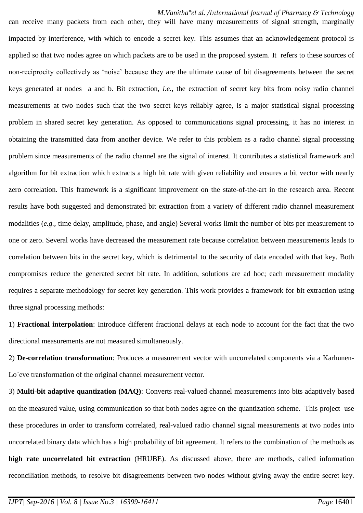can receive many packets from each other, they will have many measurements of signal strength, marginally impacted by interference, with which to encode a secret key. This assumes that an acknowledgement protocol is applied so that two nodes agree on which packets are to be used in the proposed system. It refers to these sources of non-reciprocity collectively as 'noise' because they are the ultimate cause of bit disagreements between the secret keys generated at nodes a and b. Bit extraction, *i.e.*, the extraction of secret key bits from noisy radio channel measurements at two nodes such that the two secret keys reliably agree, is a major statistical signal processing problem in shared secret key generation. As opposed to communications signal processing, it has no interest in obtaining the transmitted data from another device. We refer to this problem as a radio channel signal processing problem since measurements of the radio channel are the signal of interest. It contributes a statistical framework and algorithm for bit extraction which extracts a high bit rate with given reliability and ensures a bit vector with nearly zero correlation. This framework is a significant improvement on the state-of-the-art in the research area. Recent results have both suggested and demonstrated bit extraction from a variety of different radio channel measurement modalities (*e.g.*, time delay, amplitude, phase, and angle) Several works limit the number of bits per measurement to one or zero. Several works have decreased the measurement rate because correlation between measurements leads to correlation between bits in the secret key, which is detrimental to the security of data encoded with that key. Both compromises reduce the generated secret bit rate. In addition, solutions are ad hoc; each measurement modality requires a separate methodology for secret key generation. This work provides a framework for bit extraction using three signal processing methods:

1) **Fractional interpolation**: Introduce different fractional delays at each node to account for the fact that the two directional measurements are not measured simultaneously.

2) **De-correlation transformation**: Produces a measurement vector with uncorrelated components via a Karhunen-Lo`eve transformation of the original channel measurement vector.

3) **Multi-bit adaptive quantization (MAQ)**: Converts real-valued channel measurements into bits adaptively based on the measured value, using communication so that both nodes agree on the quantization scheme. This project use these procedures in order to transform correlated, real-valued radio channel signal measurements at two nodes into uncorrelated binary data which has a high probability of bit agreement. It refers to the combination of the methods as **high rate uncorrelated bit extraction** (HRUBE). As discussed above, there are methods, called information reconciliation methods, to resolve bit disagreements between two nodes without giving away the entire secret key.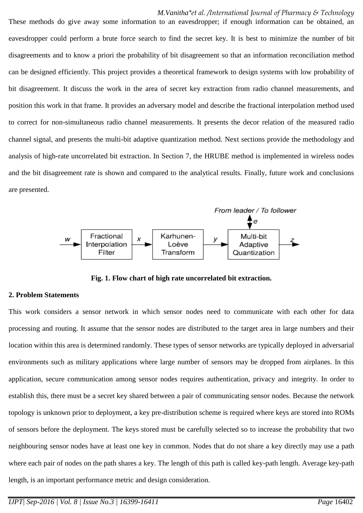These methods do give away some information to an eavesdropper; if enough information can be obtained, an eavesdropper could perform a brute force search to find the secret key. It is best to minimize the number of bit disagreements and to know a priori the probability of bit disagreement so that an information reconciliation method can be designed efficiently. This project provides a theoretical framework to design systems with low probability of bit disagreement. It discuss the work in the area of secret key extraction from radio channel measurements, and position this work in that frame. It provides an adversary model and describe the fractional interpolation method used to correct for non-simultaneous radio channel measurements. It presents the decor relation of the measured radio channel signal, and presents the multi-bit adaptive quantization method. Next sections provide the methodology and analysis of high-rate uncorrelated bit extraction. In Section 7, the HRUBE method is implemented in wireless nodes and the bit disagreement rate is shown and compared to the analytical results. Finally, future work and conclusions are presented.



**Fig. 1. Flow chart of high rate uncorrelated bit extraction.**

#### **2. Problem Statements**

This work considers a sensor network in which sensor nodes need to communicate with each other for data processing and routing. It assume that the sensor nodes are distributed to the target area in large numbers and their location within this area is determined randomly. These types of sensor networks are typically deployed in adversarial environments such as military applications where large number of sensors may be dropped from airplanes. In this application, secure communication among sensor nodes requires authentication, privacy and integrity. In order to establish this, there must be a secret key shared between a pair of communicating sensor nodes. Because the network topology is unknown prior to deployment, a key pre-distribution scheme is required where keys are stored into ROMs of sensors before the deployment. The keys stored must be carefully selected so to increase the probability that two neighbouring sensor nodes have at least one key in common. Nodes that do not share a key directly may use a path where each pair of nodes on the path shares a key. The length of this path is called key-path length. Average key-path length, is an important performance metric and design consideration.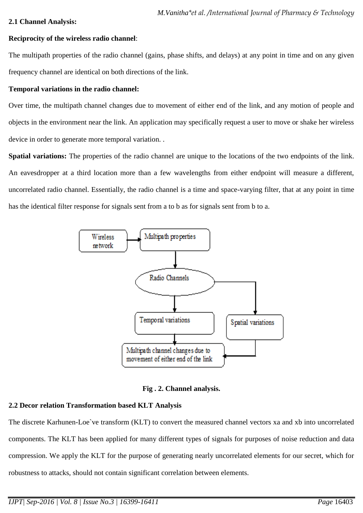## **2.1 Channel Analysis:**

## **Reciprocity of the wireless radio channel**:

The multipath properties of the radio channel (gains, phase shifts, and delays) at any point in time and on any given frequency channel are identical on both directions of the link.

# **Temporal variations in the radio channel:**

Over time, the multipath channel changes due to movement of either end of the link, and any motion of people and objects in the environment near the link. An application may specifically request a user to move or shake her wireless device in order to generate more temporal variation. .

**Spatial variations:** The properties of the radio channel are unique to the locations of the two endpoints of the link. An eavesdropper at a third location more than a few wavelengths from either endpoint will measure a different, uncorrelated radio channel. Essentially, the radio channel is a time and space-varying filter, that at any point in time has the identical filter response for signals sent from a to b as for signals sent from b to a.



## **Fig . 2. Channel analysis.**

# **2.2 Decor relation Transformation based KLT Analysis**

The discrete Karhunen-Loe`ve transform (KLT) to convert the measured channel vectors xa and xb into uncorrelated components. The KLT has been applied for many different types of signals for purposes of noise reduction and data compression. We apply the KLT for the purpose of generating nearly uncorrelated elements for our secret, which for robustness to attacks, should not contain significant correlation between elements.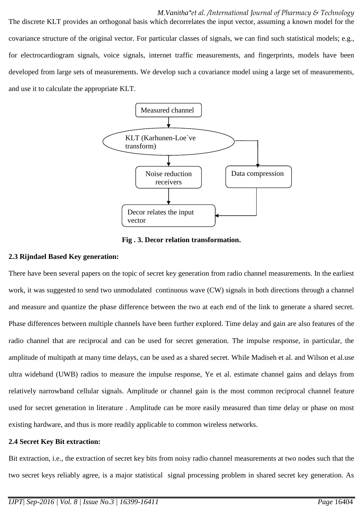The discrete KLT provides an orthogonal basis which decorrelates the input vector, assuming a known model for the covariance structure of the original vector. For particular classes of signals, we can find such statistical models; e.g., for electrocardiogram signals, voice signals, internet traffic measurements, and fingerprints, models have been developed from large sets of measurements. We develop such a covariance model using a large set of measurements, and use it to calculate the appropriate KLT.



**Fig . 3. Decor relation transformation.**

### **2.3 Rijndael Based Key generation:**

There have been several papers on the topic of secret key generation from radio channel measurements. In the earliest work, it was suggested to send two unmodulated continuous wave (CW) signals in both directions through a channel and measure and quantize the phase difference between the two at each end of the link to generate a shared secret. Phase differences between multiple channels have been further explored. Time delay and gain are also features of the radio channel that are reciprocal and can be used for secret generation. The impulse response, in particular, the amplitude of multipath at many time delays, can be used as a shared secret. While Madiseh et al. and Wilson et al.use ultra wideband (UWB) radios to measure the impulse response, Ye et al. estimate channel gains and delays from relatively narrowband cellular signals. Amplitude or channel gain is the most common reciprocal channel feature used for secret generation in literature . Amplitude can be more easily measured than time delay or phase on most existing hardware, and thus is more readily applicable to common wireless networks.

## **2.4 Secret Key Bit extraction:**

Bit extraction, i.e., the extraction of secret key bits from noisy radio channel measurements at two nodes such that the two secret keys reliably agree, is a major statistical signal processing problem in shared secret key generation. As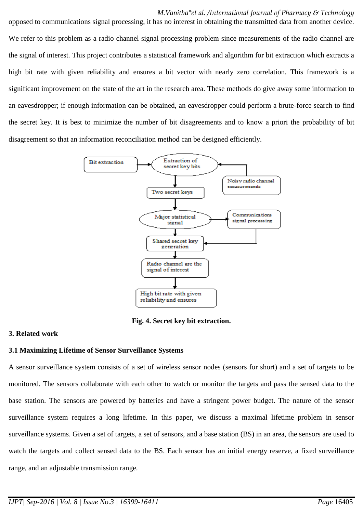opposed to communications signal processing, it has no interest in obtaining the transmitted data from another device. We refer to this problem as a radio channel signal processing problem since measurements of the radio channel are the signal of interest. This project contributes a statistical framework and algorithm for bit extraction which extracts a high bit rate with given reliability and ensures a bit vector with nearly zero correlation. This framework is a significant improvement on the state of the art in the research area. These methods do give away some information to an eavesdropper; if enough information can be obtained, an eavesdropper could perform a brute-force search to find the secret key. It is best to minimize the number of bit disagreements and to know a priori the probability of bit disagreement so that an information reconciliation method can be designed efficiently.



**Fig. 4. Secret key bit extraction.**

## **3. Related work**

## **3.1 Maximizing Lifetime of Sensor Surveillance Systems**

A sensor surveillance system consists of a set of wireless sensor nodes (sensors for short) and a set of targets to be monitored. The sensors collaborate with each other to watch or monitor the targets and pass the sensed data to the base station. The sensors are powered by batteries and have a stringent power budget. The nature of the sensor surveillance system requires a long lifetime. In this paper, we discuss a maximal lifetime problem in sensor surveillance systems. Given a set of targets, a set of sensors, and a base station (BS) in an area, the sensors are used to watch the targets and collect sensed data to the BS. Each sensor has an initial energy reserve, a fixed surveillance range, and an adjustable transmission range.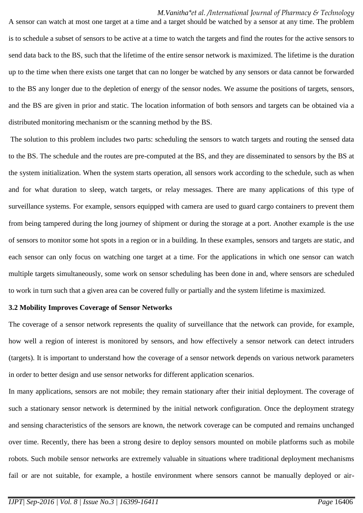A sensor can watch at most one target at a time and a target should be watched by a sensor at any time. The problem is to schedule a subset of sensors to be active at a time to watch the targets and find the routes for the active sensors to send data back to the BS, such that the lifetime of the entire sensor network is maximized. The lifetime is the duration up to the time when there exists one target that can no longer be watched by any sensors or data cannot be forwarded to the BS any longer due to the depletion of energy of the sensor nodes. We assume the positions of targets, sensors, and the BS are given in prior and static. The location information of both sensors and targets can be obtained via a distributed monitoring mechanism or the scanning method by the BS.

The solution to this problem includes two parts: scheduling the sensors to watch targets and routing the sensed data to the BS. The schedule and the routes are pre-computed at the BS, and they are disseminated to sensors by the BS at the system initialization. When the system starts operation, all sensors work according to the schedule, such as when and for what duration to sleep, watch targets, or relay messages. There are many applications of this type of surveillance systems. For example, sensors equipped with camera are used to guard cargo containers to prevent them from being tampered during the long journey of shipment or during the storage at a port. Another example is the use of sensors to monitor some hot spots in a region or in a building. In these examples, sensors and targets are static, and each sensor can only focus on watching one target at a time. For the applications in which one sensor can watch multiple targets simultaneously, some work on sensor scheduling has been done in and, where sensors are scheduled to work in turn such that a given area can be covered fully or partially and the system lifetime is maximized.

#### **3.2 Mobility Improves Coverage of Sensor Networks**

The coverage of a sensor network represents the quality of surveillance that the network can provide, for example, how well a region of interest is monitored by sensors, and how effectively a sensor network can detect intruders (targets). It is important to understand how the coverage of a sensor network depends on various network parameters in order to better design and use sensor networks for different application scenarios.

In many applications, sensors are not mobile; they remain stationary after their initial deployment. The coverage of such a stationary sensor network is determined by the initial network configuration. Once the deployment strategy and sensing characteristics of the sensors are known, the network coverage can be computed and remains unchanged over time. Recently, there has been a strong desire to deploy sensors mounted on mobile platforms such as mobile robots. Such mobile sensor networks are extremely valuable in situations where traditional deployment mechanisms fail or are not suitable, for example, a hostile environment where sensors cannot be manually deployed or air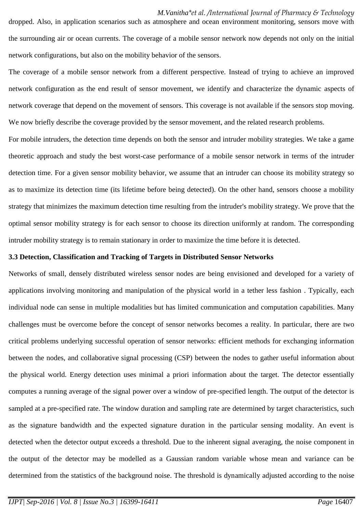dropped. Also, in application scenarios such as atmosphere and ocean environment monitoring, sensors move with the surrounding air or ocean currents. The coverage of a mobile sensor network now depends not only on the initial network configurations, but also on the mobility behavior of the sensors.

The coverage of a mobile sensor network from a different perspective. Instead of trying to achieve an improved network configuration as the end result of sensor movement, we identify and characterize the dynamic aspects of network coverage that depend on the movement of sensors. This coverage is not available if the sensors stop moving. We now briefly describe the coverage provided by the sensor movement, and the related research problems.

For mobile intruders, the detection time depends on both the sensor and intruder mobility strategies. We take a game theoretic approach and study the best worst-case performance of a mobile sensor network in terms of the intruder detection time. For a given sensor mobility behavior, we assume that an intruder can choose its mobility strategy so as to maximize its detection time (its lifetime before being detected). On the other hand, sensors choose a mobility strategy that minimizes the maximum detection time resulting from the intruder's mobility strategy. We prove that the optimal sensor mobility strategy is for each sensor to choose its direction uniformly at random. The corresponding intruder mobility strategy is to remain stationary in order to maximize the time before it is detected.

#### **3.3 Detection, Classification and Tracking of Targets in Distributed Sensor Networks**

Networks of small, densely distributed wireless sensor nodes are being envisioned and developed for a variety of applications involving monitoring and manipulation of the physical world in a tether less fashion . Typically, each individual node can sense in multiple modalities but has limited communication and computation capabilities. Many challenges must be overcome before the concept of sensor networks becomes a reality. In particular, there are two critical problems underlying successful operation of sensor networks: efficient methods for exchanging information between the nodes, and collaborative signal processing (CSP) between the nodes to gather useful information about the physical world. Energy detection uses minimal a priori information about the target. The detector essentially computes a running average of the signal power over a window of pre-specified length. The output of the detector is sampled at a pre-specified rate. The window duration and sampling rate are determined by target characteristics, such as the signature bandwidth and the expected signature duration in the particular sensing modality. An event is detected when the detector output exceeds a threshold. Due to the inherent signal averaging, the noise component in the output of the detector may be modelled as a Gaussian random variable whose mean and variance can be determined from the statistics of the background noise. The threshold is dynamically adjusted according to the noise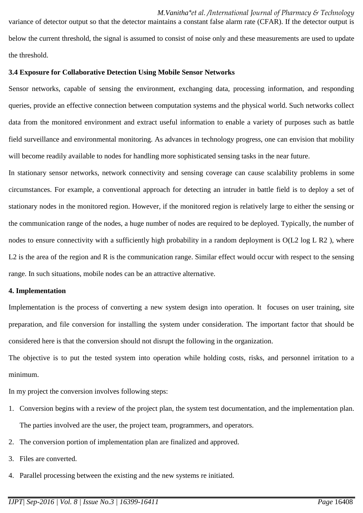variance of detector output so that the detector maintains a constant false alarm rate (CFAR). If the detector output is below the current threshold, the signal is assumed to consist of noise only and these measurements are used to update the threshold.

#### **3.4 Exposure for Collaborative Detection Using Mobile Sensor Networks**

Sensor networks, capable of sensing the environment, exchanging data, processing information, and responding queries, provide an effective connection between computation systems and the physical world. Such networks collect data from the monitored environment and extract useful information to enable a variety of purposes such as battle field surveillance and environmental monitoring. As advances in technology progress, one can envision that mobility will become readily available to nodes for handling more sophisticated sensing tasks in the near future.

In stationary sensor networks, network connectivity and sensing coverage can cause scalability problems in some circumstances. For example, a conventional approach for detecting an intruder in battle field is to deploy a set of stationary nodes in the monitored region. However, if the monitored region is relatively large to either the sensing or the communication range of the nodes, a huge number of nodes are required to be deployed. Typically, the number of nodes to ensure connectivity with a sufficiently high probability in a random deployment is  $O(L2 \log L R2)$ , where L2 is the area of the region and R is the communication range. Similar effect would occur with respect to the sensing range. In such situations, mobile nodes can be an attractive alternative.

#### **4. Implementation**

Implementation is the process of converting a new system design into operation. It focuses on user training, site preparation, and file conversion for installing the system under consideration. The important factor that should be considered here is that the conversion should not disrupt the following in the organization.

The objective is to put the tested system into operation while holding costs, risks, and personnel irritation to a minimum.

In my project the conversion involves following steps:

- 1. Conversion begins with a review of the project plan, the system test documentation, and the implementation plan. The parties involved are the user, the project team, programmers, and operators.
- 2. The conversion portion of implementation plan are finalized and approved.
- 3. Files are converted.
- 4. Parallel processing between the existing and the new systems re initiated.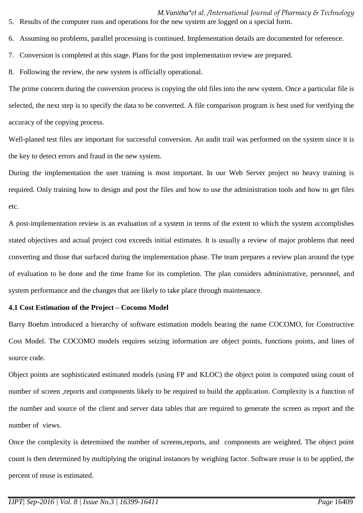*M.Vanitha\*et al. /International Journal of Pharmacy & Technology* 5. Results of the computer runs and operations for the new system are logged on a special form.

- 6. Assuming no problems, parallel processing is continued. Implementation details are documented for reference.
- 7. Conversion is completed at this stage. Plans for the post implementation review are prepared.
- 8. Following the review, the new system is officially operational.

The prime concern during the conversion process is copying the old files into the new system. Once a particular file is selected, the next step is to specify the data to be converted. A file comparison program is best used for verifying the accuracy of the copying process.

Well-planed test files are important for successful conversion. An audit trail was performed on the system since it is the key to detect errors and fraud in the new system.

During the implementation the user training is most important. In our Web Server project no heavy training is required. Only training how to design and post the files and how to use the administration tools and how to get files etc.

A post-implementation review is an evaluation of a system in terms of the extent to which the system accomplishes stated objectives and actual project cost exceeds initial estimates. It is usually a review of major problems that need converting and those that surfaced during the implementation phase. The team prepares a review plan around the type of evaluation to be done and the time frame for its completion. The plan considers administrative, personnel, and system performance and the changes that are likely to take place through maintenance.

## **4.1 Cost Estimation of the Project – Cocomo Model**

Barry Boehm introduced a hierarchy of software estimation models bearing the name COCOMO, for Constructive Cost Model. The COCOMO models requires seizing information are object points, functions points, and lines of source code.

Object points are sophisticated estimated models (using FP and KLOC) the object point is computed using count of number of screen ,reports and components likely to be required to build the application. Complexity is a function of the number and source of the client and server data tables that are required to generate the screen as report and the number of views.

Once the complexity is determined the number of screens,reports, and components are weighted. The object point count is then determined by multiplying the original instances by weighing factor. Software reuse is to be applied, the percent of reuse is estimated.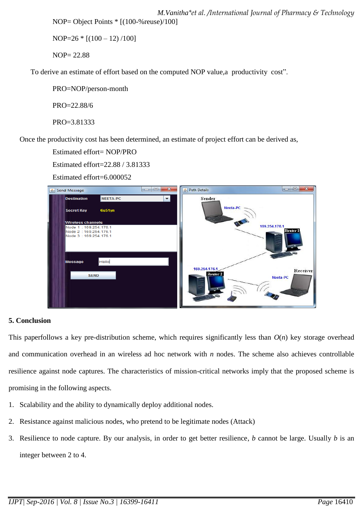*M.Vanitha\*et al. /International Journal of Pharmacy & Technology* NOP= Object Points \* [(100-%reuse)/100]

 $NOP=26 * [(100 - 12)/100]$ 

NOP= 22.88

To derive an estimate of effort based on the computed NOP value,a productivity cost".

PRO=NOP/person-month

PRO=22.88/6

PRO=3.81333

Once the productivity cost has been determined, an estimate of project effort can be derived as,

Estimated effort= NOP/PRO

Estimated effort=22.88 / 3.81333

Estimated effort=6.000052

| $\mathbf{x}$<br>$\qquad \qquad \Box$<br>$\overline{\phantom{a}}$<br>Send Message<br>$\left  \frac{\phi}{2} \right $ |                                                                        |          | 9 Path Details                       | $\mathbf{x}$<br>$\Box$<br>$\sim$ |
|---------------------------------------------------------------------------------------------------------------------|------------------------------------------------------------------------|----------|--------------------------------------|----------------------------------|
|                                                                                                                     | <b>Destination</b>                                                     | NEETA-PC | Sender                               |                                  |
|                                                                                                                     | <b>Secret Key</b>                                                      | 6u51yn   | Neeta-PC                             |                                  |
|                                                                                                                     | <b>Wireless channels</b>                                               |          |                                      | 169.254.176.1                    |
|                                                                                                                     | Node 1: 169.254.176.1<br>Node 2: 169.254.176.1<br>Node 3:169.254.176.1 |          |                                      | <b>Router 1</b>                  |
|                                                                                                                     | <b>Message</b>                                                         | Hello    |                                      |                                  |
|                                                                                                                     | <b>SEND</b>                                                            |          | 169.254.176.1<br>Router <sub>2</sub> | Receiver<br>Neeta-PC             |

# **5. Conclusion**

This paperfollows a key pre-distribution scheme, which requires significantly less than  $O(n)$  key storage overhead and communication overhead in an wireless ad hoc network with *n* nodes. The scheme also achieves controllable resilience against node captures. The characteristics of mission-critical networks imply that the proposed scheme is promising in the following aspects.

- 1. Scalability and the ability to dynamically deploy additional nodes.
- 2. Resistance against malicious nodes, who pretend to be legitimate nodes (Attack)
- 3. Resilience to node capture. By our analysis, in order to get better resilience, *b* cannot be large. Usually *b* is an integer between 2 to 4.